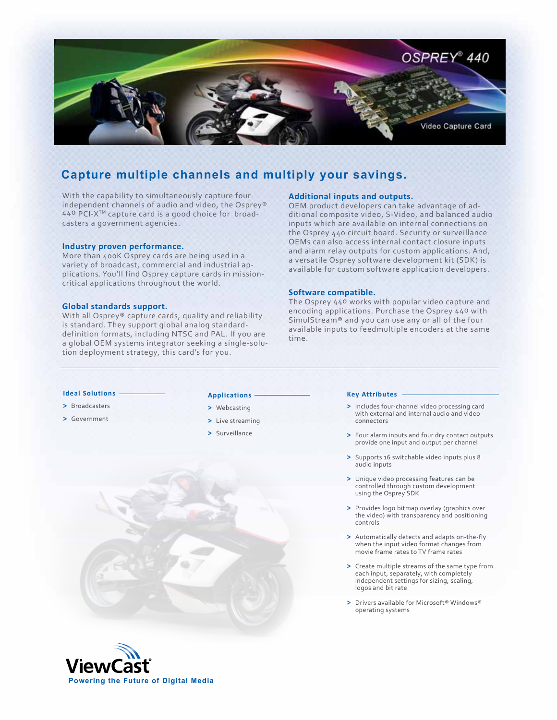

# **Capture multiple channels and multiply your savings.**

With the capability to simultaneously capture four independent channels of audio and video, the Osprey® 440 PCI-XTM capture card is a good choice for broadcasters a government agencies.

## **Industry proven performance.**

More than 400K Osprey cards are being used in a variety of broadcast, commercial and industrial applications. You'll find Osprey capture cards in missioncritical applications throughout the world.

## **Global standards support.**

With all Osprey® capture cards, quality and reliability is standard. They support global analog standarddefinition formats, including NTSC and PAL. If you are a global OEM systems integrator seeking a single-solution deployment strategy, this card's for you.

## **Additional inputs and outputs.**

OEM product developers can take advantage of additional composite video, S-Video, and balanced audio inputs which are available on internal connections on the Osprey 440 circuit board. Security or surveillance OEMs can also access internal contact closure inputs and alarm relay outputs for custom applications. And, a versatile Osprey software development kit (SDK) is available for custom software application developers.

# **Software compatible.**

The Osprey 440 works with popular video capture and encoding applications. Purchase the Osprey 440 with SimulStream® and you can use any or all of the four available inputs to feedmultiple encoders at the same time.

## **Ideal Solutions**

- **>** Broadcasters
- **>** Government

## **Applications**

- **>** Webcasting
- **>** Live streaming
- **>** Surveillance

#### **Key Attributes**

- **>** Includes four-channel video processing card with external and internal audio and video connectors
- **>** Four alarm inputs and four dry contact outputs provide one input and output per channel
- **>** Supports 16 switchable video inputs plus 8 audio inputs
- **>** Unique video processing features can be controlled through custom development using the Osprey SDK
- **>** Provides logo bitmap overlay (graphics over the video) with transparency and positioning controls
- **>** Automatically detects and adapts on-the-fly when the input video format changes from movie frame rates to TV frame rates
- **>** Create multiple streams of the same type from each input, separately, with completely independent settings for sizing, scaling, logos and bit rate
- **>** Drivers available for Microsoft® Windows® operating systems